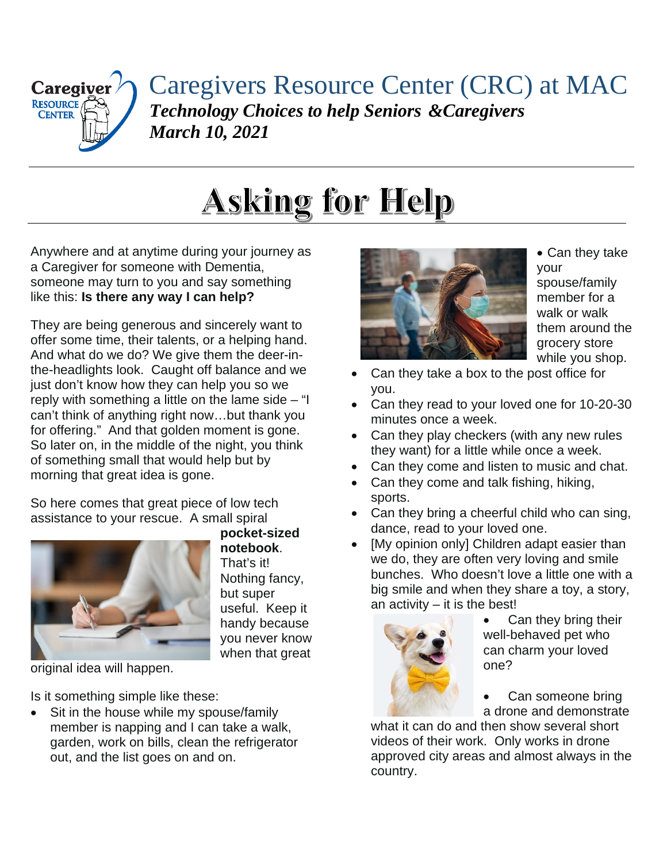

Caregivers Resource Center (CRC) at MAC *Technology Choices to help Seniors &Caregivers March 10, 2021*

## **Asking for Help**

Anywhere and at anytime during your journey as a Caregiver for someone with Dementia, someone may turn to you and say something like this: **Is there any way I can help?**

They are being generous and sincerely want to offer some time, their talents, or a helping hand. And what do we do? We give them the deer-inthe-headlights look. Caught off balance and we just don't know how they can help you so we reply with something a little on the lame side  $-$  "I can't think of anything right now…but thank you for offering." And that golden moment is gone. So later on, in the middle of the night, you think of something small that would help but by morning that great idea is gone.

So here comes that great piece of low tech assistance to your rescue. A small spiral



**pocket-sized notebook**. That's it! Nothing fancy, but super useful. Keep it handy because you never know when that great

original idea will happen.

Is it something simple like these:

Sit in the house while my spouse/family member is napping and I can take a walk, garden, work on bills, clean the refrigerator out, and the list goes on and on.



• Can they take your spouse/family member for a walk or walk them around the grocery store while you shop.

- Can they take a box to the post office for you.
- Can they read to your loved one for 10-20-30 minutes once a week.
- Can they play checkers (with any new rules they want) for a little while once a week.
- Can they come and listen to music and chat.
- Can they come and talk fishing, hiking, sports.
- Can they bring a cheerful child who can sing, dance, read to your loved one.
- [My opinion only] Children adapt easier than we do, they are often very loving and smile bunches. Who doesn't love a little one with a big smile and when they share a toy, a story, an activity  $-$  it is the best!



- Can they bring their well-behaved pet who can charm your loved one?
- Can someone bring a drone and demonstrate

what it can do and then show several short videos of their work. Only works in drone approved city areas and almost always in the country.